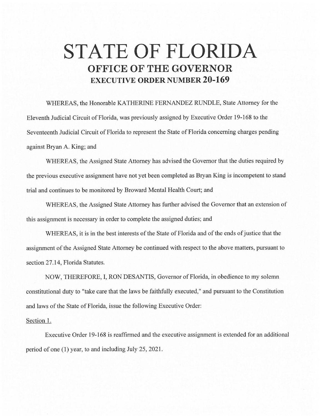## **STATE OF FLORIDA OFFICE OF THE GOVERNOR EXECUTIVE ORDER NUMBER 20-169**

WHEREAS, the Honorable KATHERINE FERNANDEZ RUNDLE, State Attorney for the Eleventh Judicial Circuit of Florida, was previously assigned by Executive Order 19-168 to the Seventeenth Judicial Circuit of Florida to represent the State of Florida concerning charges pending against Bryan A. King; and

WHEREAS, the Assigned State Attorney has advised the Governor that the duties required by the previous executive assignment have not yet been completed as Bryan King is incompetent to stand trial and continues to be monitored by Broward Mental Health Court; and

WHEREAS, the Assigned State Attorney has further advised the Governor that an extension of this assignment is necessary in order to complete the assigned duties; and

WHEREAS, it is in the best interests of the State of Florida and of the ends of justice that the assignment of the Assigned State Attorney be continued with respect to the above matters, pursuant to section 27.14, Florida Statutes.

NOW, THEREFORE, I, RON DESANTIS, Governor of Florida, in obedience to my solemn constitutional duty to "take care that the laws be faithfully executed," and pursuant to the Constitution and laws of the State of Florida, issue the following Executive Order:

## Section 1.

Executive Order 19-168 is reaffirmed and the executive assignment is extended for an additional period of one (1) year, to and including July 25, 2021 .